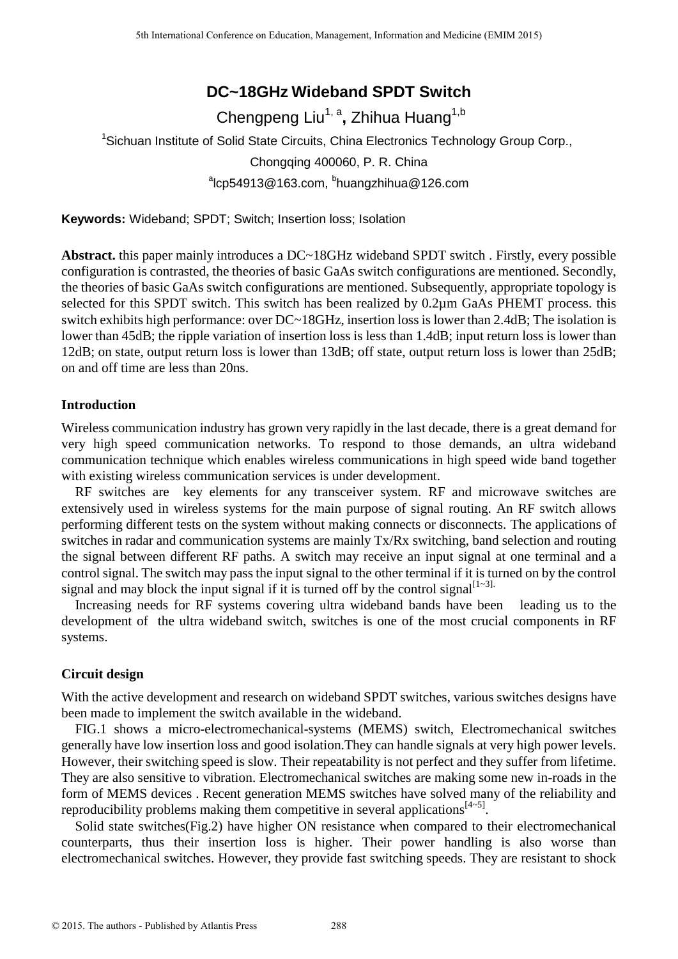# **DC~18GHz Wideband SPDT Switch**

Chengpeng Liu<sup>1, a</sup>, Zhihua Huang<sup>1,b</sup> <sup>1</sup>Sichuan Institute of Solid State Circuits, China Electronics Technology Group Corp., Chongqing 400060, P. R. China <sup>a</sup>lcp54913@163.com, <sup>b</sup>huangzhihua@126.com

**Keywords:** Wideband; SPDT; Switch; Insertion loss; Isolation

**Abstract.** this paper mainly introduces a DC~18GHz wideband SPDT switch . Firstly, every possible configuration is contrasted, the theories of basic GaAs switch configurations are mentioned. Secondly, the theories of basic GaAs switch configurations are mentioned. Subsequently, appropriate topology is selected for this SPDT switch. This switch has been realized by 0.2  $\mu$ m GaAs PHEMT process. this switch exhibits high performance: over DC~18GHz, insertion loss is lower than 2.4dB; The isolation is lower than 45dB; the ripple variation of insertion loss is less than 1.4dB; input return loss is lower than 12dB; on state, output return loss is lower than 13dB; off state, output return loss is lower than 25dB; on and off time are less than 20ns.

# **Introduction**

Wireless communication industry has grown very rapidly in the last decade, there is a great demand for very high speed communication networks. To respond to those demands, an ultra wideband communication technique which enables wireless communications in high speed wide band together with existing wireless communication services is under development.

RF switches are key elements for any transceiver system. RF and microwave switches are extensively used in wireless systems for the main purpose of signal routing. An RF switch allows performing different tests on the system without making connects or disconnects. The applications of switches in radar and communication systems are mainly Tx/Rx switching, band selection and routing the signal between different RF paths. A switch may receive an input signal at one terminal and a control signal. The switch may pass the input signal to the other terminal if it is turned on by the control signal and may block the input signal if it is turned off by the control signal  $[1-3]$ .

Increasing needs for RF systems covering ultra wideband bands have been leading us to the development of the ultra wideband switch, switches is one of the most crucial components in RF systems.

# **Circuit design**

With the active development and research on wideband SPDT switches, various switches designs have been made to implement the switch available in the wideband.

FIG.1 shows a micro-electromechanical-systems (MEMS) switch, Electromechanical switches generally have low insertion loss and good isolation.They can handle signals at very high power levels. However, their switching speed is slow. Their repeatability is not perfect and they suffer from lifetime. They are also sensitive to vibration. Electromechanical switches are making some new in-roads in the form of MEMS devices . Recent generation MEMS switches have solved many of the reliability and reproducibility problems making them competitive in several applications  $[4-5]$ .

Solid state switches(Fig.2) have higher ON resistance when compared to their electromechanical counterparts, thus their insertion loss is higher. Their power handling is also worse than electromechanical switches. However, they provide fast switching speeds. They are resistant to shock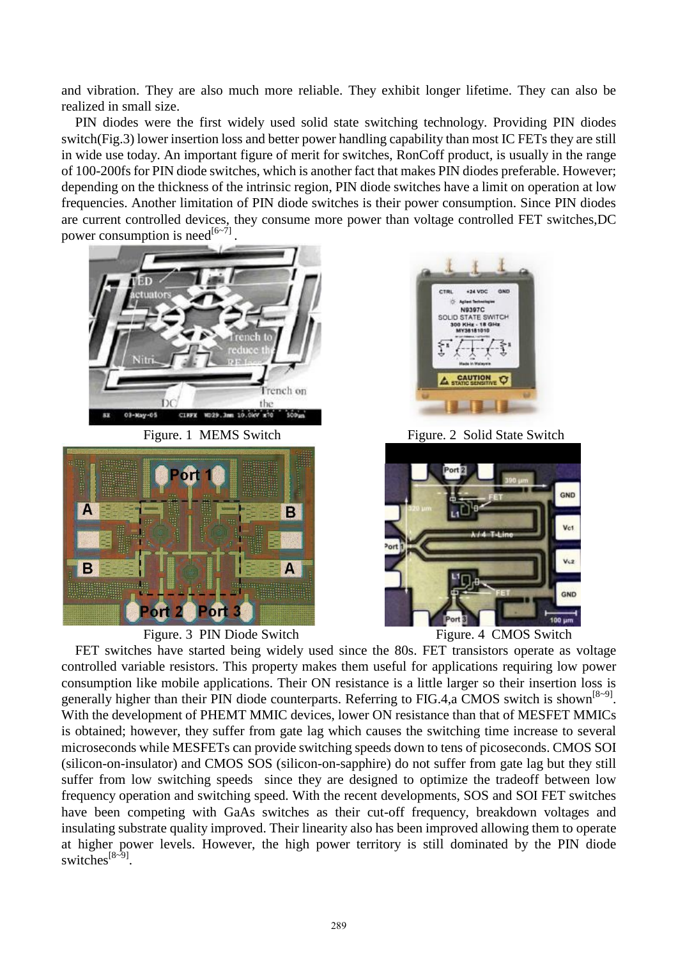and vibration. They are also much more reliable. They exhibit longer lifetime. They can also be realized in small size.

PIN diodes were the first widely used solid state switching technology. Providing PIN diodes switch(Fig.3) lower insertion loss and better power handling capability than most IC FETs they are still in wide use today. An important figure of merit for switches, RonCoff product, is usually in the range of 100-200fs for PIN diode switches, which is another fact that makes PIN diodes preferable. However; depending on the thickness of the intrinsic region, PIN diode switches have a limit on operation at low frequencies. Another limitation of PIN diode switches is their power consumption. Since PIN diodes are current controlled devices, they consume more power than voltage controlled FET switches,DC power consumption is need<sup>[6~7]</sup>.





Figure. 3 PIN Diode Switch Figure. 4 CMOS Switch



Figure. 1 MEMS Switch Figure. 2 Solid State Switch



FET switches have started being widely used since the 80s. FET transistors operate as voltage controlled variable resistors. This property makes them useful for applications requiring low power consumption like mobile applications. Their ON resistance is a little larger so their insertion loss is generally higher than their PIN diode counterparts. Referring to FIG.4, a CMOS switch is shown<sup>[8~9]</sup>. With the development of PHEMT MMIC devices, lower ON resistance than that of MESFET MMICs is obtained; however, they suffer from gate lag which causes the switching time increase to several microseconds while MESFETs can provide switching speeds down to tens of picoseconds. CMOS SOI (silicon-on-insulator) and CMOS SOS (silicon-on-sapphire) do not suffer from gate lag but they still suffer from low switching speeds since they are designed to optimize the tradeoff between low frequency operation and switching speed. With the recent developments, SOS and SOI FET switches have been competing with GaAs switches as their cut-off frequency, breakdown voltages and insulating substrate quality improved. Their linearity also has been improved allowing them to operate at higher power levels. However, the high power territory is still dominated by the PIN diode switches<sup>[8~9]</sup>.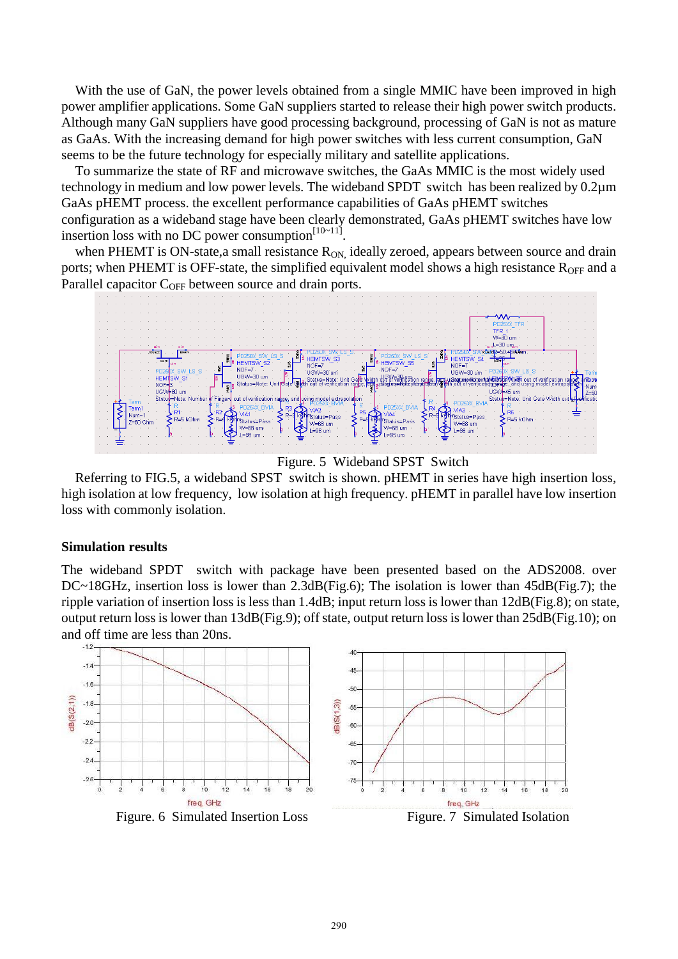With the use of GaN, the power levels obtained from a single MMIC have been improved in high power amplifier applications. Some GaN suppliers started to release their high power switch products. Although many GaN suppliers have good processing background, processing of GaN is not as mature as GaAs. With the increasing demand for high power switches with less current consumption, GaN seems to be the future technology for especially military and satellite applications.

To summarize the state of RF and microwave switches, the GaAs MMIC is the most widely used technology in medium and low power levels. The wideband SPDT switch has been realized by  $0.2 \mu m$ GaAs pHEMT process. the excellent performance capabilities of GaAs pHEMT switches configuration as a wideband stage have been clearly demonstrated, GaAs pHEMT switches have low insertion loss with no DC power consumption $[10-11]$ .

when PHEMT is ON-state, a small resistance  $R_{ON}$  ideally zeroed, appears between source and drain ports; when PHEMT is OFF-state, the simplified equivalent model shows a high resistance  $R_{\text{OFF}}$  and a Parallel capacitor  $C_{OFF}$  between source and drain ports.



Figure. 5 Wideband SPST Switch

Referring to FIG.5, a wideband SPST switch is shown. pHEMT in series have high insertion loss, high isolation at low frequency, low isolation at high frequency. pHEMT in parallel have low insertion loss with commonly isolation.

#### **Simulation results**

The wideband SPDT switch with package have been presented based on the ADS2008. over DC~18GHz, insertion loss is lower than 2.3dB(Fig.6); The isolation is lower than 45dB(Fig.7); the ripple variation of insertion loss is less than 1.4dB; input return loss is lower than 12dB(Fig.8); on state, output return loss is lower than 13dB(Fig.9); off state, output return loss is lower than 25dB(Fig.10); on and off time are less than 20ns.



290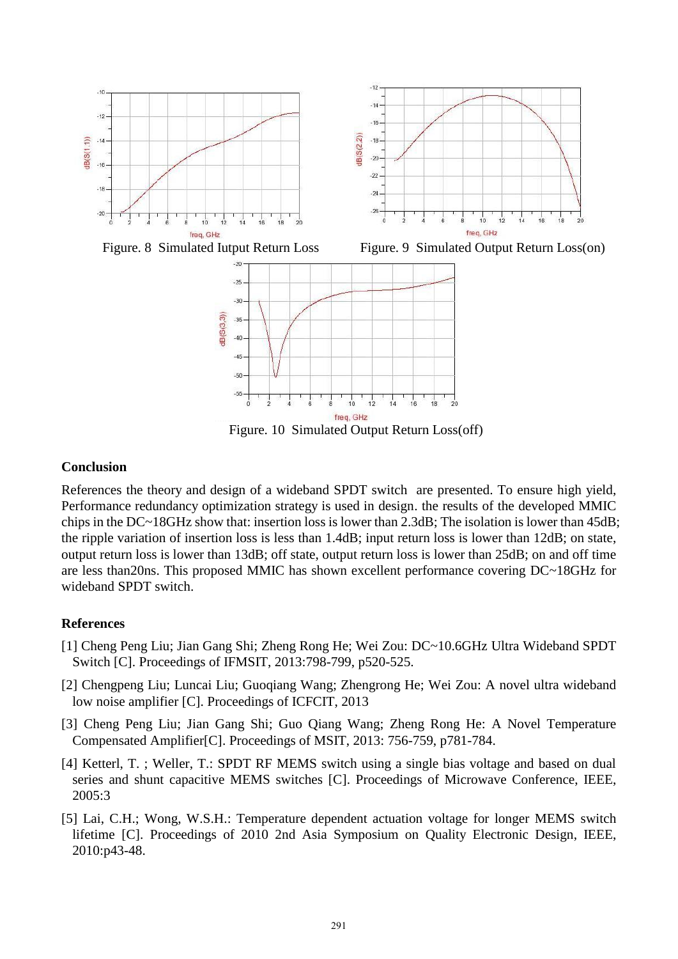

Figure. 10 Simulated Output Return Loss(off)

# **Conclusion**

References the theory and design of a wideband SPDT switch are presented. To ensure high yield, Performance redundancy optimization strategy is used in design. the results of the developed MMIC chips in the DC~18GHz show that: insertion loss is lower than 2.3dB; The isolation is lower than 45dB; the ripple variation of insertion loss is less than 1.4dB; input return loss is lower than 12dB; on state, output return loss is lower than 13dB; off state, output return loss is lower than 25dB; on and off time are less than20ns. This proposed MMIC has shown excellent performance covering DC~18GHz for wideband SPDT switch.

# **References**

- [1] Cheng Peng Liu; Jian Gang Shi; Zheng Rong He; Wei Zou: DC~10.6GHz Ultra Wideband SPDT Switch [C]. Proceedings of IFMSIT, 2013:798-799, p520-525.
- [2] Chengpeng Liu; Luncai Liu; Guoqiang Wang; Zhengrong He; Wei Zou: A novel ultra wideband low noise amplifier [C]. Proceedings of ICFCIT, 2013
- [3] Cheng Peng Liu; Jian Gang Shi; Guo Qiang Wang; Zheng Rong He: A Novel Temperature Compensated Amplifier[C]. Proceedings of MSIT, 2013: 756-759, p781-784.
- [4] Ketterl, T. ; Weller, T.: SPDT RF MEMS switch using a single bias voltage and based on dual series and shunt capacitive MEMS switches [C]. Proceedings of Microwave Conference, IEEE, 2005:3
- [5] Lai, C.H.; Wong, W.S.H.: Temperature dependent actuation voltage for longer MEMS switch lifetime [C]. Proceedings of 2010 2nd Asia Symposium on Quality Electronic Design, IEEE, 2010:p43-48.